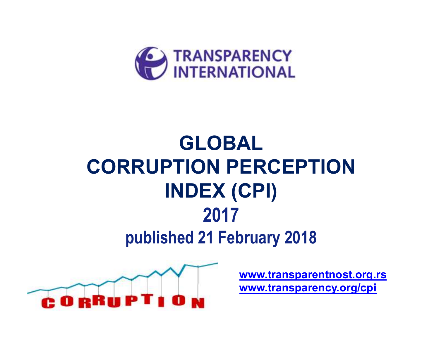

## **GLOBAL CORRUPTION PERCEPTION INDEX (CPI)2017 published 21 February 2018**



**www.transparentnost.org.rswww.transparency.org/cpi**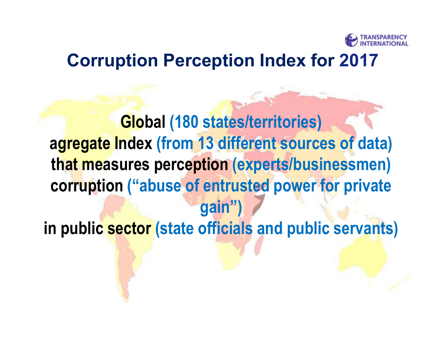

### **Corruption Perception Index for 2017**

**Global (180 states/territories) agregate Index (from 13 different sources of data) that measures perception (experts/businessmen) corruption ("abuse of entrusted power for private gain") in public sector (state officials and public servants)**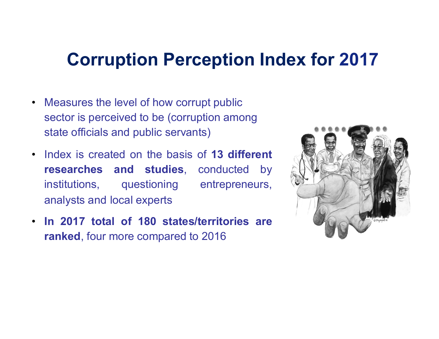## **Corruption Perception Index for 2017**

- Measures the level of how corrupt public sector is perceived to be (corruption among state officials and public servants)
- • Index is created on the basis of **13 different researches and studies**, conducted by institutions, questioning entrepreneurs, analysts and local experts
- • **In 2017 total of 180 states/territories are ranked**, four more compared to 2016

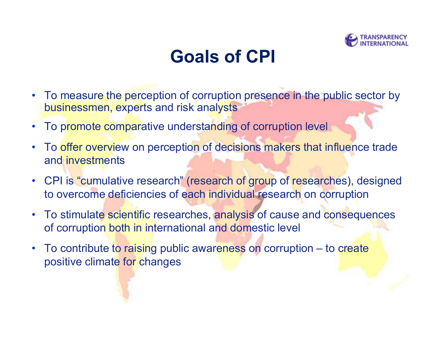

## **Goals of CPI**

- $\bullet$  To measure the perception of corruption presence in the public sector by businessmen, experts and risk analysts
- •To promote comparative understanding of corruption level
- • To offer overview on perception of decisions makers that influence trade and investments
- • CPI is "cumulative research" (research of group of researches), designed to overcome deficiencies of each individual research on corruption
- $\bullet$  To stimulate scientific researches, analysis of cause and consequences of corruption both in international and domestic level
- • To contribute to raising public awareness on corruption – to create positive climate for changes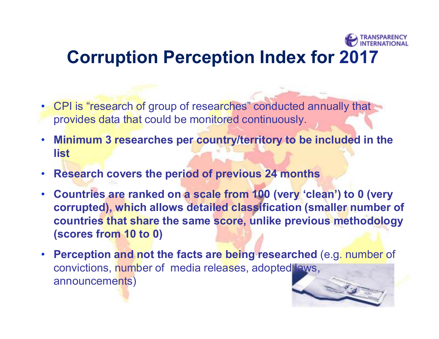# **Corruption Perception Index for 2017**

- CPI is "research of group of researches" conducted annually that provides data that could be monitored continuously.
- **Minimum 3 researches per country/territory to be included in the list**
- **Research covers the period of previous 24 months**
- **Countries are ranked on a scale from 100 (very 'clean') to 0 (very corrupted), which allows detailed classification (smaller number of countries that share the same score, unlike previous methodology (scores from 10 to 0)**
- **Perception and not the facts are being researched** (e.g. number of convictions, number of media releases, adopted laws, announcements)

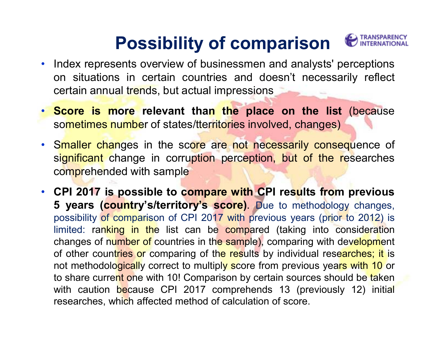## **Possibility of comparison**



- Index represents overview of businessmen and analysts' perceptions on situations in certain countries and doesn't necessarily reflect certain annual trends, but actual impressions
- **Score is more relevant than the place on the list** (because sometimes number of states/tterritories involved, changes)
- Smaller changes in the score are not necessarily consequence of significant change in corruption perception, but of the researches comprehended with sample
- **CPI 2017 is possible to compare with CPI results from previous 5 years (country's/territory's score)**. Due to methodology changes, possibility of comparison of CPI 2017 with previous years (prior to 2012) is limited: ranking in the list can be compared (taking into consideration changes of number of countries in the sample), comparing with development of other countries or comparing of the results by individual researches; it is not methodologically correct to multiply score from previous years with 10 or to share current one with 10! Comparison by certain sources should be taken with caution because CPI 2017 comprehends 13 (previously 12) initial researches, which affected method of calculation of score.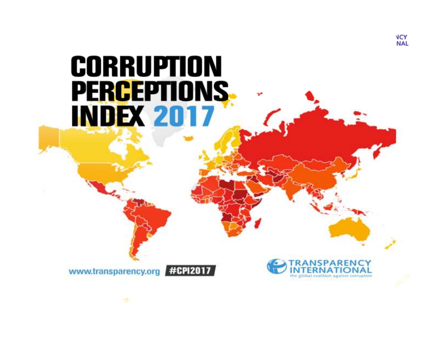# **CORRUPTION** PERCEPTIONS. **INDEX 2017**



www.transparency.org #CPI2017

10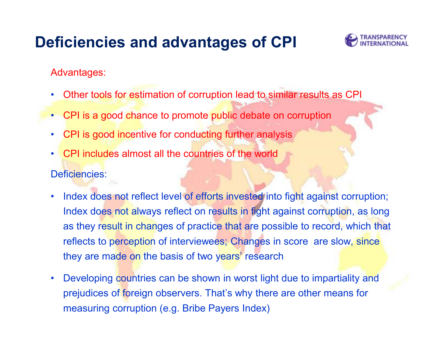### **Deficiencies and advantages of CPI**



Advantages:

- •Other tools for estimation of corruption lead to similar results as CPI
- CPI is a good chance to promote public debate on corruption
- •CPI is good incentive for conducting further analysis
- • CPI includes almost all the countries of the worldDeficiencies:
- • Index does not reflect level of efforts invested into fight against corruption; Index does not always reflect on results in fight against corruption, as long as they result in changes of practice that are possible to record, which that reflects to perception of interviewees; Changes in score are slow, since they are made on the basis of two years' research
- • Developing countries can be shown in worst light due to impartiality and prejudices of foreign observers. That's why there are other means for measuring corruption (e.g. Bribe Payers Index)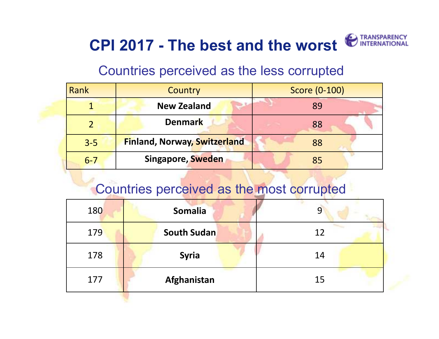## **CPI 2017 - The best and the worst**

#### Countries perceived as the less corrupted

| Rank    | <b>Country</b>                      | Score (0-100) |  |
|---------|-------------------------------------|---------------|--|
|         | <b>New Zealand</b>                  | 89            |  |
|         | <b>Denmark</b>                      | 88            |  |
| $3 - 5$ | <b>Finland, Norway, Switzerland</b> | 88            |  |
| $6 - 7$ | <b>Singapore, Sweden</b>            | 85            |  |

#### Countries perceived as the most corrupted

| 180 | <b>Somalia</b>     | 9  |
|-----|--------------------|----|
| 179 | <b>South Sudan</b> | 12 |
| 178 | <b>Syria</b>       | 14 |
| 177 | Afghanistan        | 15 |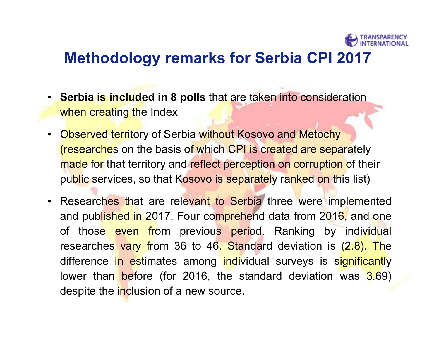

#### **Methodology remarks for Serbia CPI 2017**

- • **Serbia is included in 8 polls** that are taken into consideration when creating the Index
- $\bullet$ **Observed territory of Serbia without Kosovo and Metochy** (researches on the basis of which CPI is created are separately made for that territory and reflect perception on corruption of their public services, so that Kosovo is separately ranked on this list)
- $\bullet$ Researches that are relevant to Serbia three were implemented and published in 2017. Four comprehend data from 2016, and one of those even from previous period. Ranking by individual researches vary from 36 to 46. Standard deviation is (2.8). The difference in estimates among individual surveys is significantly lower than before (for 2016, the standard deviation was 3.69) despite the inclusion of a new source.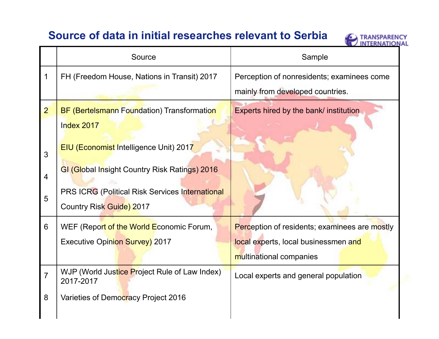#### **Source of data in initial researches relevant to Serbia**



|                | Source                                                     | Sample                                               |  |
|----------------|------------------------------------------------------------|------------------------------------------------------|--|
| 1              | FH (Freedom House, Nations in Transit) 2017                | Perception of nonresidents; examinees come           |  |
|                |                                                            | mainly from developed countries.                     |  |
| $\overline{2}$ | <b>BF (Bertelsmann Foundation) Transformation</b>          | Experts hired by the bank/ institution               |  |
|                | Index 2017                                                 |                                                      |  |
| 3              | <b>EIU (Economist Intelligence Unit) 2017</b>              |                                                      |  |
|                | GI (Global Insight Country Risk Ratings) 2016              |                                                      |  |
| $\overline{4}$ |                                                            |                                                      |  |
| 5              | PRS ICRG (Political Risk Services International            |                                                      |  |
|                | Country Risk Guide) 2017                                   |                                                      |  |
| 6              | WEF (Report of the World Economic Forum,                   | <b>Perception of residents; examinees are mostly</b> |  |
|                | <b>Executive Opinion Survey) 2017</b>                      | local experts, local businessmen and                 |  |
|                |                                                            | multinational companies                              |  |
| $\overline{7}$ | WJP (World Justice Project Rule of Law Index)<br>2017-2017 | Local experts and general population                 |  |
| 8              | Varieties of Democracy Project 2016                        |                                                      |  |
|                |                                                            |                                                      |  |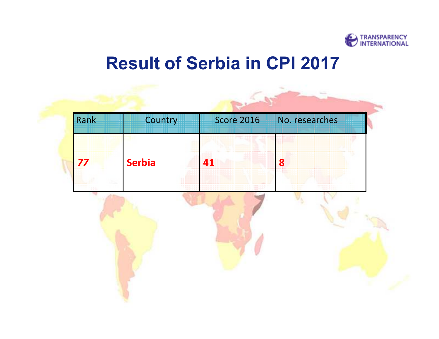

## **Result of Serbia in CPI 2017**

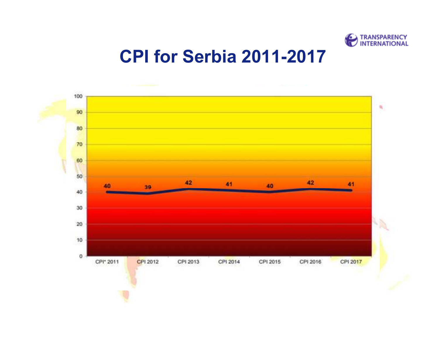

### **CPI for Serbia 2011-2017**

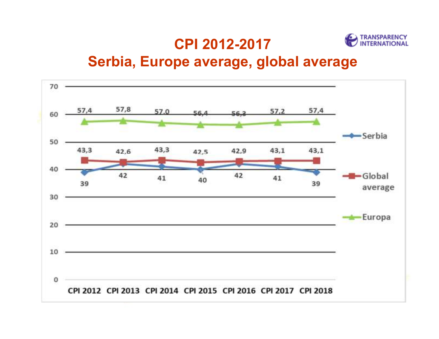#### **CPI 2012-2017**



#### **Serbia, Europe average, global average**

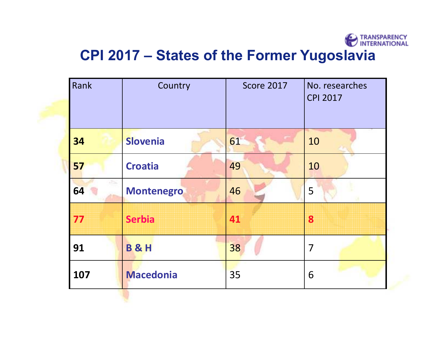

### **CPI 2017 – States of the Former Yugoslavia**

| Rank | Country           | <b>Score 2017</b> | No. researches<br><b>CPI 2017</b> |
|------|-------------------|-------------------|-----------------------------------|
| 34   | <b>Slovenia</b>   | 61                | 10                                |
| 57   | <b>Croatia</b>    | 49                | 10                                |
| 64   | <b>Montenegro</b> | 46                | 5                                 |
| 77   | <b>Serbia</b>     | 41                | 8                                 |
| 91   | <b>B&amp;H</b>    | 38                | 7                                 |
| 107  | <b>Macedonia</b>  | 35                | 6                                 |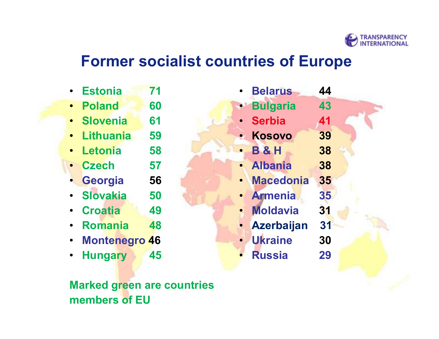

#### **Former socialist countries of Europe**

- •**Estonia 71**
- •**Poland 60**
- •**Slovenia 61**
- •**Lithuania 59**
- •**Letonia 58**
- **Czech 57**
- •**Georgia 56**
- 50 •**Slovakia**
- $\bullet$ **Croatia 49**
- $\bullet$ **Romania 48**
- •**Montenegro 46**
- •**Hungary 45**

**Marked green are countries members of EU**

- •**Belarus 44**
- **Bulgaria 43**
- •**Serbia 41**
- **Kosovo 39**
- **B & H 38**
- •**Albania 38**
- **Macedonia 35**

 $31$ 

- •**Armenia 35**
- •**Moldavia**
- •**Azerbaijan 31**
- **Ukraine 30**
- •**Russia 29**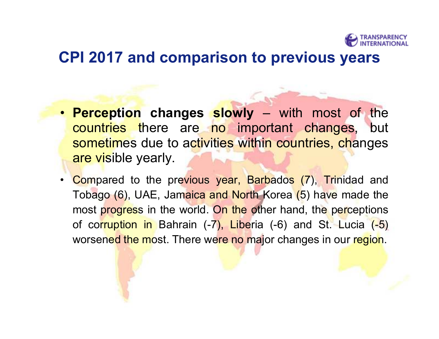

#### **CPI 2017 and comparison to previous years**

- **Perception changes slowly**  with most of the countries there are no important changes, but sometimes due to activities within countries, changes are visible yearly.
- •Compared to the previous year, Barbados (7), Trinidad and Tobago (6), UAE, Jamaica and North Korea (5) have made the most progress in the world. On the other hand, the perceptions of corruption in Bahrain (-7), Liberia (-6) and St. Lucia (-5) worsened the most. There were no major changes in our region.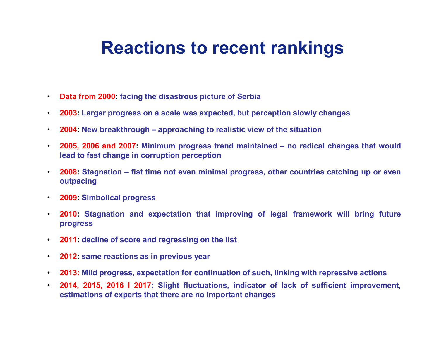## **Reactions to recent rankings**

- $\bullet$ **Data from 2000: facing the disastrous picture of Serbia**
- •**2003: Larger progress on a scale was expected, but perception slowly changes**
- $\bullet$ **2004: New breakthrough – approaching to realistic view of the situation**
- • **2005, 2006 and 2007: Minimum progress trend maintained – no radical changes that would lead to fast change in corruption perception**
- • **2008: Stagnation – fist time not even minimal progress, other countries catching up or even outpacing**
- **2009: Simbolical progress**
- • **2010: Stagnation and expectation that improving of legal framework will bring future progress**
- $\bullet$ **2011: decline of score and regressing on the list**
- $\bullet$ **2012: same reactions as in previous year**
- •**2013: Mild progress, expectation for continuation of such, linking with repressive actions**
- • **2014, 2015, 2016 I 2017: Slight fluctuations, indicator of lack of sufficient improvement, estimations of experts that there are no important changes**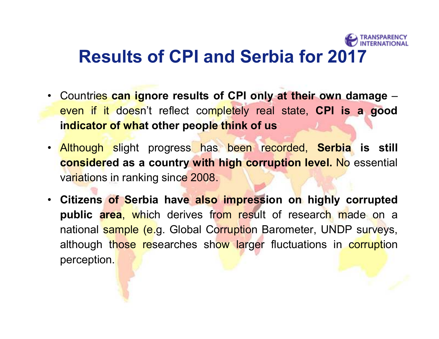## **Results of CPI and Serbia for 2017**

- • Countries **can ignore results of CPI only at their own damage** – even if it doesn't reflect completely real state, **CPI is a good indicator of what other people think of us**
- Although slight progress has been recorded, **Serbia is still considered as a country with high corruption level.** No essential variations in ranking since 2008.
- • **Citizens of Serbia have also impression on highly corrupted public area**, which derives from result of research made on a national sample (e.g. Global Corruption Barometer, UNDP surveys, although those researches show larger fluctuations in corruption perception.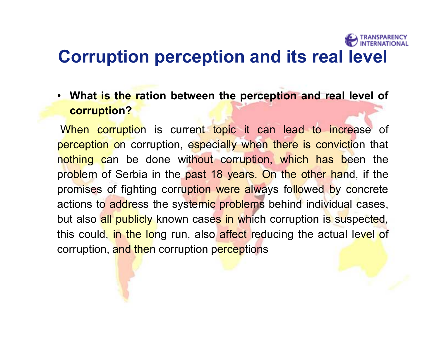## **Corruption perception and its real level**

• **What is the ration between the perception and real level of corruption?** 

When corruption is current topic it can lead to increase of perception on corruption, especially when there is conviction that nothing can be done without corruption, which has been the problem of Serbia in the past 18 years. On the other hand, if the promises of fighting corruption were always followed by concrete actions to address the systemic problems behind individual cases, but also all publicly known cases in which corruption is suspected, this could, in the long run, also affect reducing the actual level of corruption, and then corruption perceptions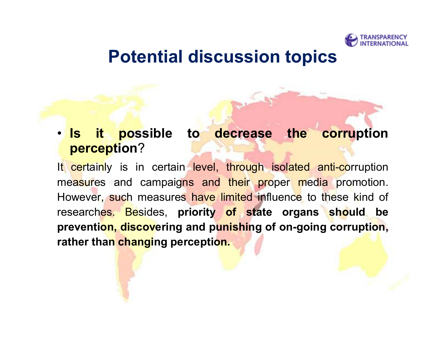

### **Potential discussion topics**

#### • **Is it possible to decrease the corruption perception**?

It certainly is in certain level, through isolated anti-corruption measures and campaigns and their proper media promotion. However, such measures have limited influence to these kind of researches. Besides, **priority of state organs should be prevention, discovering and punishing of on-going corruption, rather than changing perception.**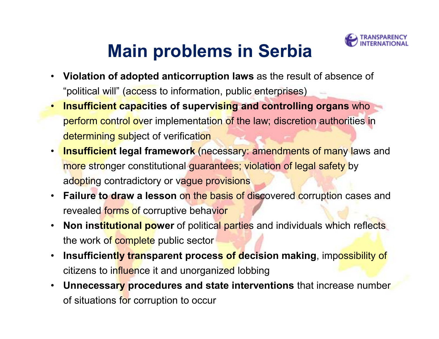

## **Main problems in Serbia**

- • **Violation of adopted anticorruption laws** as the result of absence of "political will" (access to information, public enterprises)
- • **Insufficient capacities of supervising and controlling organs** who perform control over implementation of the law; discretion authorities in determining subject of verification
- •**Insufficient legal framework (necessary: amendments of many laws and** more stronger constitutional guarantees; violation of legal safety by adopting contradictory or vague provisions
- $\bullet$  **Failure to draw a lesson** on the basis of discovered corruption cases and revealed forms of corruptive behavior
- $\bullet$  **Non institutional power** of political parties and individuals which reflects the work of complete public sector
- •**Insufficiently transparent process of decision making, impossibility of** citizens to influence it and unorganized lobbing
- $\bullet$  **Unnecessary procedures and state interventions** that increase number of situations for corruption to occur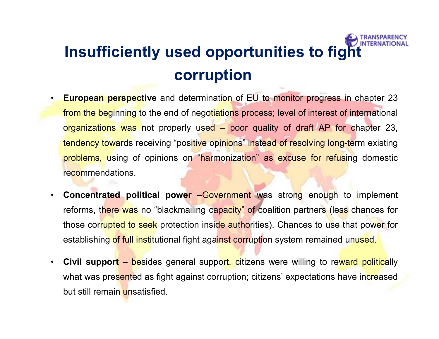## **Insufficiently used opportunities to fight corruption**

- • **European perspective** and determination of EU to monitor progress in chapter 23 from the beginning to the end of negotiations process; level of interest of international organizations was not properly used – poor quality of draft AP for chapter 23, tendency towards receiving "positive opinions" instead of resolving long-term existing problems, using of opinions on "harmonization" as excuse for refusing domestic recommendations.
- • **Concentrated political power** –Government was strong enough to implement reforms, there was no "blackmailing capacity" of coalition partners (less chances for those corrupted to seek protection inside authorities). Chances to use that power for establishing of full institutional fight against corruption system remained unused.
- •**Civil support** – besides general support, citizens were willing to reward politically what was presented as fight against corruption; citizens' expectations have increased but still remain unsatisfied.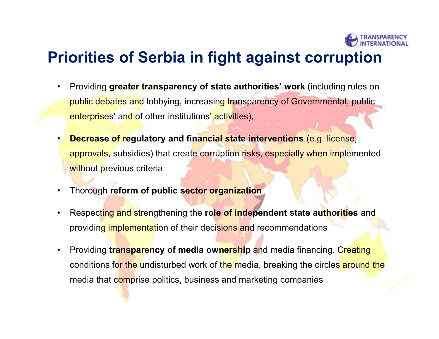

### **Priorities of Serbia in fight against corruption**

- • Providing **greater transparency of state authorities' work** (including rules on public debates and lobbying, increasing transparency of Governmental, public enterprises' and of other institutions' activities),
- • **Decrease of regulatory and financial state interventions** (e.g. license, approvals, subsidies) that create corruption risks, especially when implemented without previous criteria
- •Thorough **reform of public sector organization**
- • Respecting and strengthening the **role of independent state authorities** and providing implementation of their decisions and recommendations
- • Providing **transparency of media ownership** and media financing. Creating conditions for the undisturbed work of the media, breaking the circles around the media that comprise politics, business and marketing companies